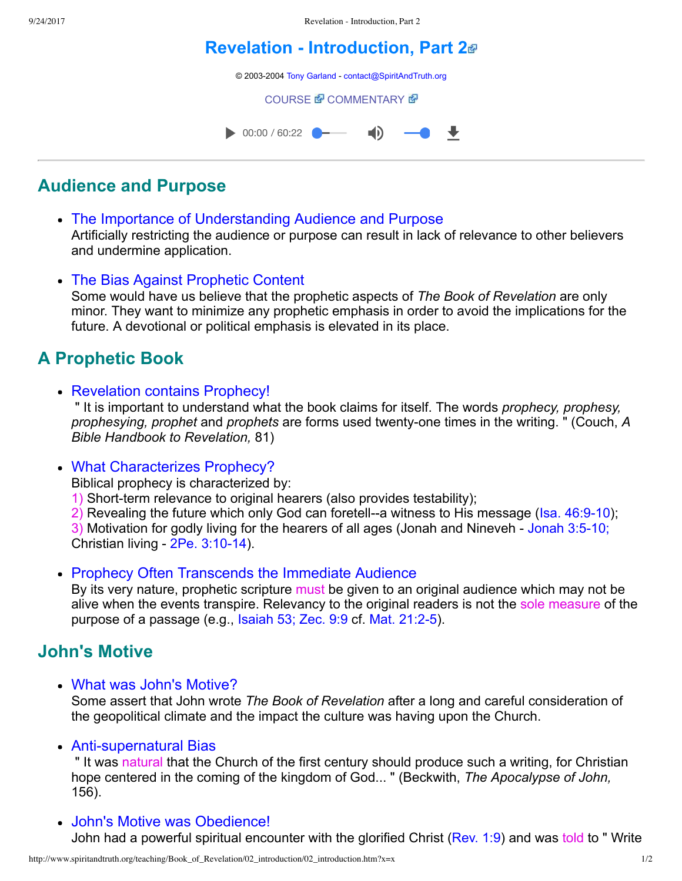# **[Revelation Introduction, Part 2](http://www.spiritandtruth.org/teaching/Book_of_Revelation/02_introduction/index.htm)**

© 2003-2004 [Tony Garland](http://www.spiritandtruth.org/teaching/teachers/tony_garland/bio.htm) - [contact@SpiritAndTruth.org](mailto:contact@SpiritAndTruth.org?subject=ST-MAIL:%20Revelation%20-%20Introduction,%20Part%202)

**[COURSE](http://www.spiritandtruth.org/teaching/Book_of_Revelation/02_introduction/index.htm) & [COMMENTARY](http://www.spiritandtruth.org/teaching/Book_of_Revelation/commentary/htm/index.html?Introduction) &** 



## **Audience and Purpose**

- The Importance of Understanding Audience and Purpose Artificially restricting the audience or purpose can result in lack of relevance to other believers and undermine application.
- The Bias Against Prophetic Content

Some would have us believe that the prophetic aspects of *The Book of Revelation* are only minor. They want to minimize any prophetic emphasis in order to avoid the implications for the future. A devotional or political emphasis is elevated in its place.

# **A Prophetic Book**

• Revelation contains Prophecy!

 " It is important to understand what the book claims for itself. The words *prophecy, prophesy, prophesying, prophet* and *prophets* are forms used twenty-one times in the writing. " (Couch, A *Bible Handbook to Revelation,* 81)

What Characterizes Prophecy?

Biblical prophecy is characterized by:

1) Short-term relevance to original hearers (also provides testability);

2) Revealing the future which only God can foretell--a witness to His message (Isa.  $46:9-10$ );

3) Motivation for godly living for the hearers of all ages (Jonah and Nineveh - Jonah 3:5-10; Christian living  $-$  2Pe. 3:10-14).

• Prophecy Often Transcends the Immediate Audience

By its very nature, prophetic scripture must be given to an original audience which may not be alive when the events transpire. Relevancy to the original readers is not the sole measure of the purpose of a passage (e.g., [Isaiah 53;](http://www.spiritandtruth.org/bibles/nasb/b23c053.htm#Isa._C53V1) [Zec. 9:9](http://www.spiritandtruth.org/bibles/nasb/b38c009.htm#Zec._C9V9) cf. Mat. 21:2-5).

### **John's Motive**

What was John's Motive?

Some assert that John wrote *The Book of Revelation* after a long and careful consideration of the geopolitical climate and the impact the culture was having upon the Church.

• Anti-supernatural Bias

 " It was natural that the Church of the first century should produce such a writing, for Christian hope centered in the coming of the kingdom of God... " (Beckwith, *The Apocalypse of John,* 156).

John's Motive was Obedience! John had a powerful spiritual encounter with the glorified Christ ([Rev. 1:9\)](http://www.spiritandtruth.org/bibles/nasb/b66c001.htm#Rev._C1V9) and was told to "Write